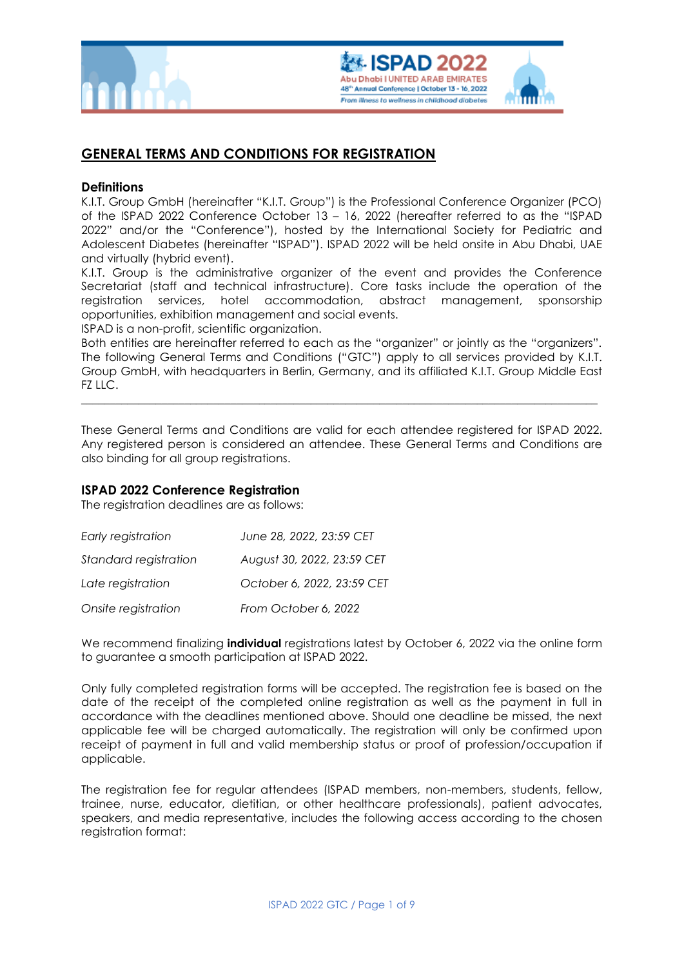



# **GENERAL TERMS AND CONDITIONS FOR REGISTRATION**

### **Definitions**

K.I.T. Group GmbH (hereinafter "K.I.T. Group") is the Professional Conference Organizer (PCO) of the ISPAD 2022 Conference October 13 – 16, 2022 (hereafter referred to as the "ISPAD 2022" and/or the "Conference"), hosted by the International Society for Pediatric and Adolescent Diabetes (hereinafter "ISPAD"). ISPAD 2022 will be held onsite in Abu Dhabi, UAE and virtually (hybrid event).

K.I.T. Group is the administrative organizer of the event and provides the Conference Secretariat (staff and technical infrastructure). Core tasks include the operation of the registration services, hotel accommodation, abstract management, sponsorship opportunities, exhibition management and social events.

ISPAD is a non-profit, scientific organization.

Both entities are hereinafter referred to each as the "organizer" or jointly as the "organizers". The following General Terms and Conditions ("GTC") apply to all services provided by K.I.T. Group GmbH, with headquarters in Berlin, Germany, and its affiliated K.I.T. Group Middle East FZ LLC.

\_\_\_\_\_\_\_\_\_\_\_\_\_\_\_\_\_\_\_\_\_\_\_\_\_\_\_\_\_\_\_\_\_\_\_\_\_\_\_\_\_\_\_\_\_\_\_\_\_\_\_\_\_\_\_\_\_\_\_\_\_\_\_\_\_\_\_\_\_\_\_\_\_\_\_\_\_\_\_\_\_\_\_\_\_\_\_\_\_\_

These General Terms and Conditions are valid for each attendee registered for ISPAD 2022. Any registered person is considered an attendee. These General Terms and Conditions are also binding for all group registrations.

### **ISPAD 2022 Conference Registration**

The registration deadlines are as follows:

| Early registration    | June 28, 2022, 23:59 CET   |
|-----------------------|----------------------------|
| Standard registration | August 30, 2022, 23:59 CET |
| Late registration     | October 6, 2022, 23:59 CET |
| Onsite registration   | From October 6, 2022       |

We recommend finalizing **individual** registrations latest by October 6, 2022 via the online form to guarantee a smooth participation at ISPAD 2022.

Only fully completed registration forms will be accepted. The registration fee is based on the date of the receipt of the completed online registration as well as the payment in full in accordance with the deadlines mentioned above. Should one deadline be missed, the next applicable fee will be charged automatically. The registration will only be confirmed upon receipt of payment in full and valid membership status or proof of profession/occupation if applicable.

The registration fee for regular attendees (ISPAD members, non-members, students, fellow, trainee, nurse, educator, dietitian, or other healthcare professionals), patient advocates, speakers, and media representative, includes the following access according to the chosen registration format: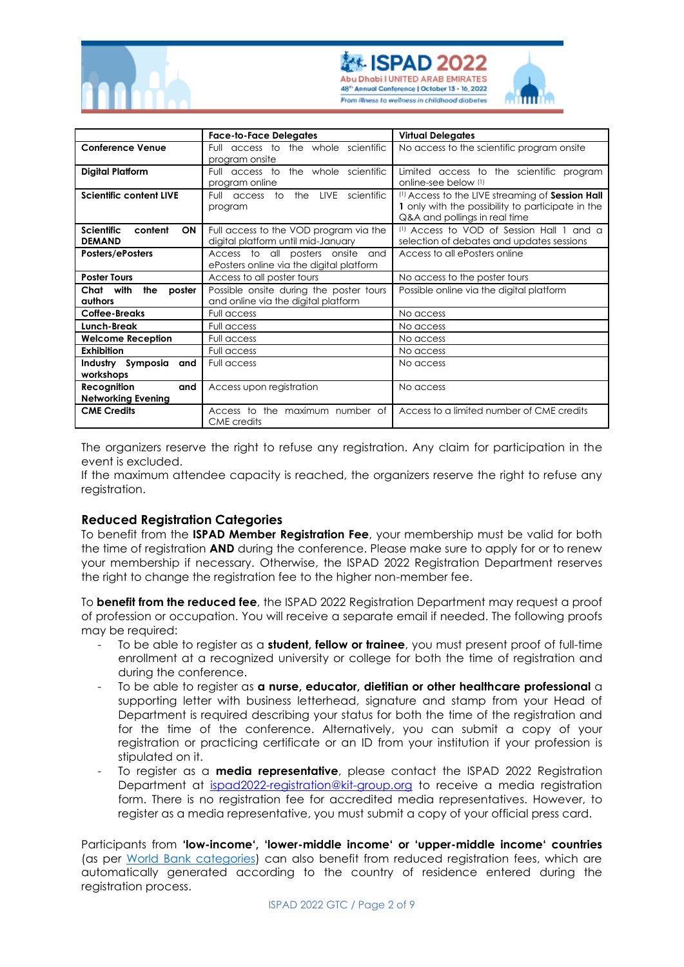





|                                           | <b>Face-to-Face Delegates</b>                         | <b>Virtual Delegates</b>                          |
|-------------------------------------------|-------------------------------------------------------|---------------------------------------------------|
| <b>Conference Venue</b>                   | Full access to the whole scientific                   | No access to the scientific program onsite        |
|                                           | program onsite                                        |                                                   |
| <b>Digital Platform</b>                   | the whole scientific<br>Full access to                | Limited access to the scientific program          |
|                                           | program online                                        | online-see below (1)                              |
| <b>Scientific content LIVE</b>            | the<br>LIVE<br>scientific<br>Full access<br>to        | (1) Access to the LIVE streaming of Session Hall  |
|                                           | program                                               | 1 only with the possibility to participate in the |
|                                           |                                                       | Q&A and pollings in real time                     |
| <b>Scientific</b><br>content<br><b>ON</b> | Full access to the VOD program via the                | (1) Access to VOD of Session Hall 1 and a         |
| <b>DEMAND</b>                             | digital platform until mid-January                    | selection of debates and updates sessions         |
| Posters/ePosters                          | Access to all posters onsite<br>and                   | Access to all ePosters online                     |
|                                           | ePosters online via the digital platform              |                                                   |
| <b>Poster Tours</b>                       | Access to all poster tours                            | No access to the poster tours                     |
| with<br>the<br>poster<br>Chat             | Possible onsite during the poster tours               | Possible online via the digital platform          |
| authors                                   | and online via the digital platform                   |                                                   |
| Coffee-Breaks                             | Full access                                           | No access                                         |
| Lunch-Break                               | Full access                                           | No access                                         |
| <b>Welcome Reception</b>                  | Full access                                           | No access                                         |
| <b>Exhibition</b>                         | Full access                                           | No access                                         |
| Industry Symposia<br>and                  | Full access                                           | No access                                         |
| workshops                                 |                                                       |                                                   |
| Recognition<br>and                        | Access upon registration                              | No access                                         |
| <b>Networking Evening</b>                 |                                                       |                                                   |
| <b>CME Credits</b>                        | Access to the maximum number of<br><b>CME</b> credits | Access to a limited number of CME credits         |

The organizers reserve the right to refuse any registration. Any claim for participation in the event is excluded.

If the maximum attendee capacity is reached, the organizers reserve the right to refuse any registration.

# **Reduced Registration Categories**

To benefit from the **ISPAD Member Registration Fee**, your membership must be valid for both the time of registration **AND** during the conference. Please make sure to apply for or to renew your membership if necessary. Otherwise, the ISPAD 2022 Registration Department reserves the right to change the registration fee to the higher non-member fee.

To **benefit from the reduced fee**, the ISPAD 2022 Registration Department may request a proof of profession or occupation. You will receive a separate email if needed. The following proofs may be required:

- To be able to register as a **student, fellow or trainee**, you must present proof of full-time enrollment at a recognized university or college for both the time of registration and during the conference.
- To be able to register as **a nurse, educator, dietitian or other healthcare professional** a supporting letter with business letterhead, signature and stamp from your Head of Department is required describing your status for both the time of the registration and for the time of the conference. Alternatively, you can submit a copy of your registration or practicing certificate or an ID from your institution if your profession is stipulated on it.
- To register as a **media representative**, please contact the ISPAD 2022 Registration Department at ispad2022-registration@kit-group.org to receive a media registration form. There is no registration fee for accredited media representatives. However, to register as a media representative, you must submit a copy of your official press card.

Participants from **'low-income', 'lower-middle income' or 'upper-middle income' countries** (as per [World Bank categories\)](http://data.worldbank.org/country) can also benefit from reduced registration fees, which are automatically generated according to the country of residence entered during the registration process.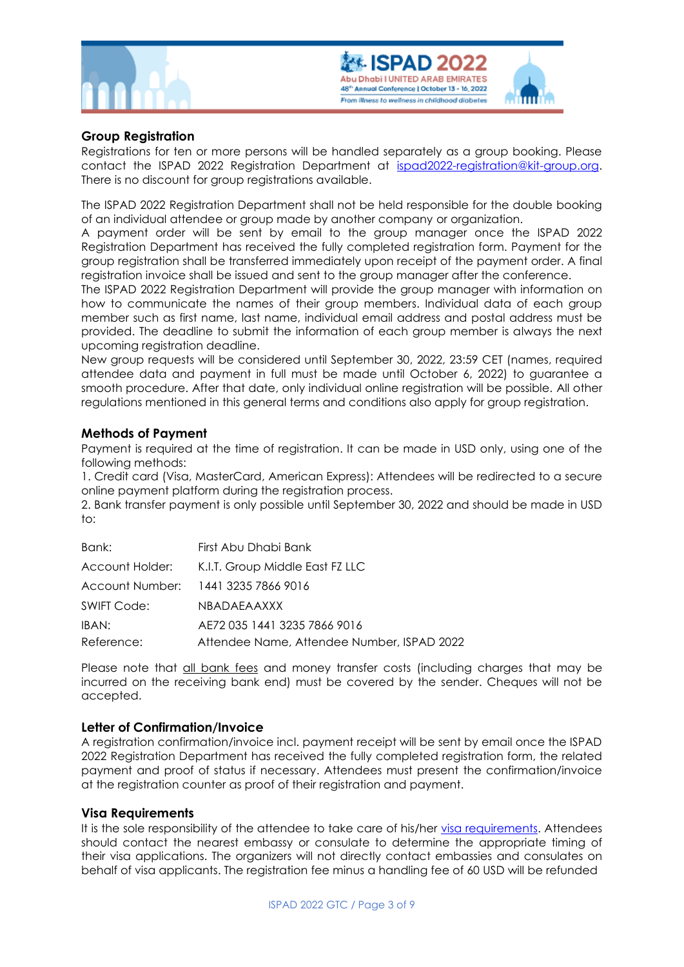



# **Group Registration**

Registrations for ten or more persons will be handled separately as a group booking. Please contact the ISPAD 2022 Registration Department at [ispad2022-registration@kit-group.org.](mailto:ispad2022-registration@kit-group.org) There is no discount for group registrations available.

The ISPAD 2022 Registration Department shall not be held responsible for the double booking of an individual attendee or group made by another company or organization.

A payment order will be sent by email to the group manager once the ISPAD 2022 Registration Department has received the fully completed registration form. Payment for the group registration shall be transferred immediately upon receipt of the payment order. A final registration invoice shall be issued and sent to the group manager after the conference.

The ISPAD 2022 Registration Department will provide the group manager with information on how to communicate the names of their group members. Individual data of each group member such as first name, last name, individual email address and postal address must be provided. The deadline to submit the information of each group member is always the next upcoming registration deadline.

New group requests will be considered until September 30, 2022, 23:59 CET (names, required attendee data and payment in full must be made until October 6, 2022) to guarantee a smooth procedure. After that date, only individual online registration will be possible. All other regulations mentioned in this general terms and conditions also apply for group registration.

# **Methods of Payment**

Payment is required at the time of registration. It can be made in USD only, using one of the following methods:

1. Credit card (Visa, MasterCard, American Express): Attendees will be redirected to a secure online payment platform during the registration process.

2. Bank transfer payment is only possible until September 30, 2022 and should be made in USD to:

| Bank:              | First Abu Dhabi Bank                            |
|--------------------|-------------------------------------------------|
|                    | Account Holder: K.I.T. Group Middle East FZ LLC |
|                    | Account Number: 1441 3235 7866 9016             |
| <b>SWIFT Code:</b> | <b>NBADAEAAXXX</b>                              |
| IBAN:              | AE72 035 1441 3235 7866 9016                    |
| Reference:         | Attendee Name, Attendee Number, ISPAD 2022      |

Please note that all bank fees and money transfer costs (including charges that may be incurred on the receiving bank end) must be covered by the sender. Cheques will not be accepted.

### **Letter of Confirmation/Invoice**

A registration confirmation/invoice incl. payment receipt will be sent by email once the ISPAD 2022 Registration Department has received the fully completed registration form, the related payment and proof of status if necessary. Attendees must present the confirmation/invoice at the registration counter as proof of their registration and payment.

### **Visa Requirements**

It is the sole responsibility of the attendee to take care of his/her [visa requirements.](https://visitabudhabi.ae/en/plan-your-trip/essential-info/getting-a-visa) Attendees should contact the nearest embassy or consulate to determine the appropriate timing of their visa applications. The organizers will not directly contact embassies and consulates on behalf of visa applicants. The registration fee minus a handling fee of 60 USD will be refunded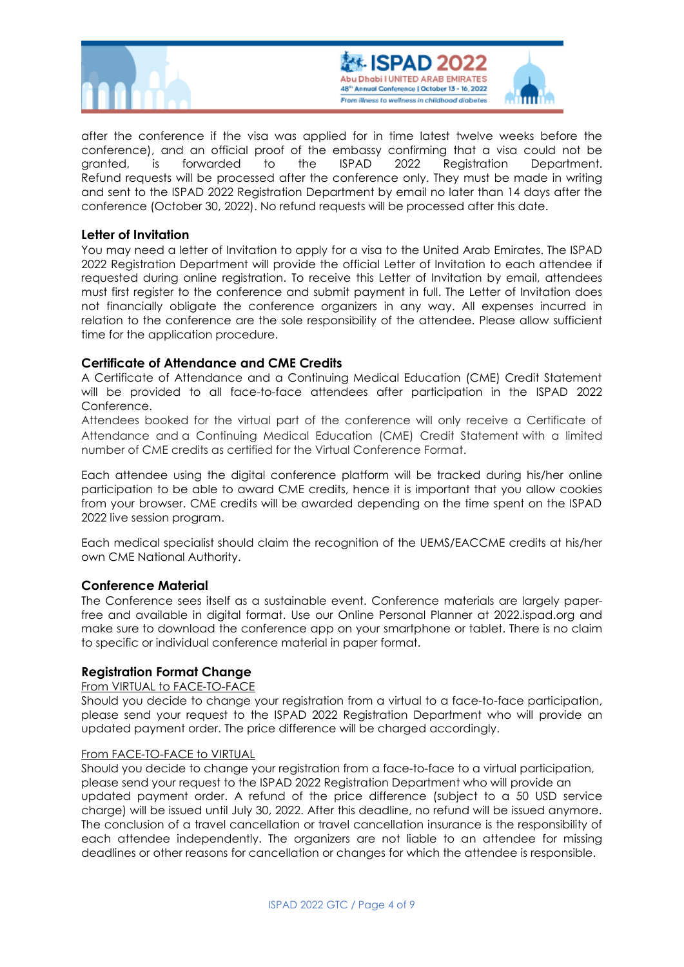



after the conference if the visa was applied for in time latest twelve weeks before the conference), and an official proof of the embassy confirming that a visa could not be granted, is forwarded to the ISPAD 2022 Registration Department. Refund requests will be processed after the conference only. They must be made in writing and sent to the ISPAD 2022 Registration Department by email no later than 14 days after the conference (October 30, 2022). No refund requests will be processed after this date.

# **Letter of Invitation**

You may need a letter of Invitation to apply for a visa to the United Arab Emirates. The ISPAD 2022 Registration Department will provide the official Letter of Invitation to each attendee if requested during online registration. To receive this Letter of Invitation by email, attendees must first register to the conference and submit payment in full. The Letter of Invitation does not financially obligate the conference organizers in any way. All expenses incurred in relation to the conference are the sole responsibility of the attendee. Please allow sufficient time for the application procedure.

# **Certificate of Attendance and CME Credits**

A Certificate of Attendance and a Continuing Medical Education (CME) Credit Statement will be provided to all face-to-face attendees after participation in the ISPAD 2022 Conference.

Attendees booked for the virtual part of the conference will only receive a Certificate of Attendance and a Continuing Medical Education (CME) Credit Statement with a limited number of CME credits as certified for the Virtual Conference Format.

Each attendee using the digital conference platform will be tracked during his/her online participation to be able to award CME credits, hence it is important that you allow cookies from your browser. CME credits will be awarded depending on the time spent on the ISPAD 2022 live session program.

Each medical specialist should claim the recognition of the UEMS/EACCME credits at his/her own CME National Authority.

### **Conference Material**

The Conference sees itself as a sustainable event. Conference materials are largely paperfree and available in digital format. Use our Online Personal Planner at 2022.ispad.org and make sure to download the conference app on your smartphone or tablet. There is no claim to specific or individual conference material in paper format.

### **Registration Format Change**

### From VIRTUAL to FACE-TO-FACE

Should you decide to change your registration from a virtual to a face-to-face participation, please send your request to the ISPAD 2022 Registration Department who will provide an updated payment order. The price difference will be charged accordingly.

#### From FACE-TO-FACE to VIRTUAL

Should you decide to change your registration from a face-to-face to a virtual participation, please send your request to the ISPAD 2022 Registration Department who will provide an updated payment order. A refund of the price difference (subject to a 50 USD service charge) will be issued until July 30, 2022. After this deadline, no refund will be issued anymore. The conclusion of a travel cancellation or travel cancellation insurance is the responsibility of each attendee independently. The organizers are not liable to an attendee for missing deadlines or other reasons for cancellation or changes for which the attendee is responsible.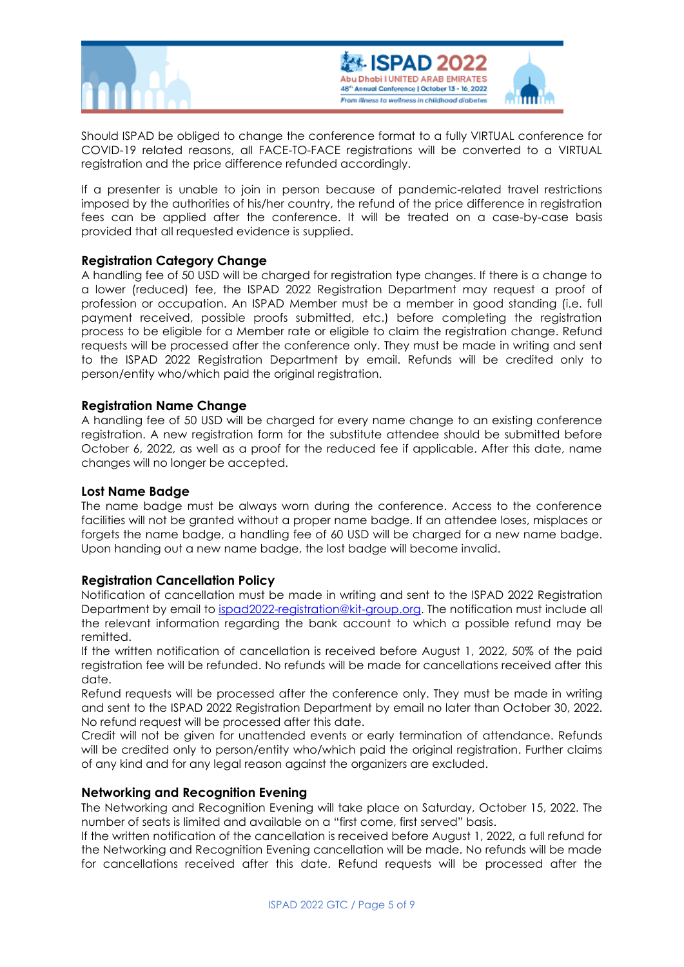



Should ISPAD be obliged to change the conference format to a fully VIRTUAL conference for COVID-19 related reasons, all FACE-TO-FACE registrations will be converted to a VIRTUAL registration and the price difference refunded accordingly.

If a presenter is unable to join in person because of pandemic-related travel restrictions imposed by the authorities of his/her country, the refund of the price difference in registration fees can be applied after the conference. It will be treated on a case-by-case basis provided that all requested evidence is supplied.

# **Registration Category Change**

A handling fee of 50 USD will be charged for registration type changes. If there is a change to a lower (reduced) fee, the ISPAD 2022 Registration Department may request a proof of profession or occupation. An ISPAD Member must be a member in good standing (i.e. full payment received, possible proofs submitted, etc.) before completing the registration process to be eligible for a Member rate or eligible to claim the registration change. Refund requests will be processed after the conference only. They must be made in writing and sent to the ISPAD 2022 Registration Department by email. Refunds will be credited only to person/entity who/which paid the original registration.

# **Registration Name Change**

A handling fee of 50 USD will be charged for every name change to an existing conference registration. A new registration form for the substitute attendee should be submitted before October 6, 2022, as well as a proof for the reduced fee if applicable. After this date, name changes will no longer be accepted.

# **Lost Name Badge**

The name badge must be always worn during the conference. Access to the conference facilities will not be granted without a proper name badge. If an attendee loses, misplaces or forgets the name badge, a handling fee of 60 USD will be charged for a new name badge. Upon handing out a new name badge, the lost badge will become invalid.

# **Registration Cancellation Policy**

Notification of cancellation must be made in writing and sent to the ISPAD 2022 Registration Department by email to [ispad2022-registration@kit-group.org.](mailto:ispad2022-registration@kit-group.org) The notification must include all the relevant information regarding the bank account to which a possible refund may be remitted.

If the written notification of cancellation is received before August 1, 2022, 50% of the paid registration fee will be refunded. No refunds will be made for cancellations received after this date.

Refund requests will be processed after the conference only. They must be made in writing and sent to the ISPAD 2022 Registration Department by email no later than October 30, 2022. No refund request will be processed after this date.

Credit will not be given for unattended events or early termination of attendance. Refunds will be credited only to person/entity who/which paid the original registration. Further claims of any kind and for any legal reason against the organizers are excluded.

# **Networking and Recognition Evening**

The Networking and Recognition Evening will take place on Saturday, October 15, 2022. The number of seats is limited and available on a "first come, first served" basis.

If the written notification of the cancellation is received before August 1, 2022, a full refund for the Networking and Recognition Evening cancellation will be made. No refunds will be made for cancellations received after this date. Refund requests will be processed after the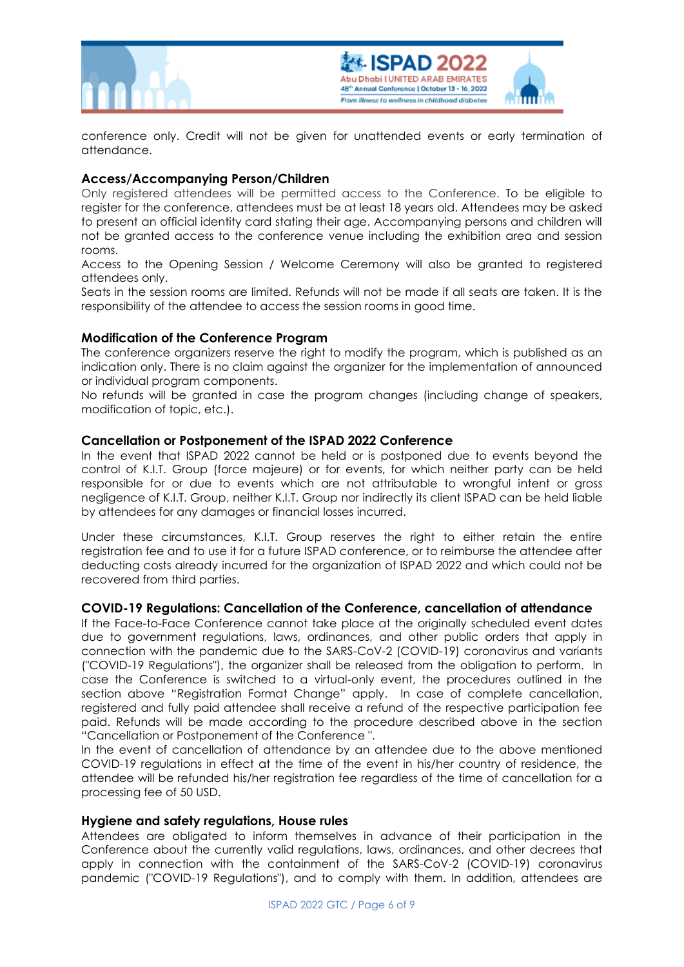



conference only. Credit will not be given for unattended events or early termination of attendance.

# **Access/Accompanying Person/Children**

Only registered attendees will be permitted access to the Conference. To be eligible to register for the conference, attendees must be at least 18 years old. Attendees may be asked to present an official identity card stating their age. Accompanying persons and children will not be granted access to the conference venue including the exhibition area and session rooms.

Access to the Opening Session / Welcome Ceremony will also be granted to registered attendees only.

Seats in the session rooms are limited. Refunds will not be made if all seats are taken. It is the responsibility of the attendee to access the session rooms in good time.

# **Modification of the Conference Program**

The conference organizers reserve the right to modify the program, which is published as an indication only. There is no claim against the organizer for the implementation of announced or individual program components.

No refunds will be granted in case the program changes (including change of speakers, modification of topic, etc.).

# **Cancellation or Postponement of the ISPAD 2022 Conference**

In the event that ISPAD 2022 cannot be held or is postponed due to events beyond the control of K.I.T. Group (force majeure) or for events, for which neither party can be held responsible for or due to events which are not attributable to wrongful intent or gross negligence of K.I.T. Group, neither K.I.T. Group nor indirectly its client ISPAD can be held liable by attendees for any damages or financial losses incurred.

Under these circumstances, K.I.T. Group reserves the right to either retain the entire registration fee and to use it for a future ISPAD conference, or to reimburse the attendee after deducting costs already incurred for the organization of ISPAD 2022 and which could not be recovered from third parties.

### **COVID-19 Regulations: Cancellation of the Conference, cancellation of attendance**

If the Face-to-Face Conference cannot take place at the originally scheduled event dates due to government regulations, laws, ordinances, and other public orders that apply in connection with the pandemic due to the SARS-CoV-2 (COVID-19) coronavirus and variants ("COVID-19 Regulations"), the organizer shall be released from the obligation to perform. In case the Conference is switched to a virtual-only event, the procedures outlined in the section above "Registration Format Change" apply. In case of complete cancellation, registered and fully paid attendee shall receive a refund of the respective participation fee paid. Refunds will be made according to the procedure described above in the section "Cancellation or Postponement of the Conference ".

In the event of cancellation of attendance by an attendee due to the above mentioned COVID-19 regulations in effect at the time of the event in his/her country of residence, the attendee will be refunded his/her registration fee regardless of the time of cancellation for a processing fee of 50 USD.

# **Hygiene and safety regulations, House rules**

Attendees are obligated to inform themselves in advance of their participation in the Conference about the currently valid regulations, laws, ordinances, and other decrees that apply in connection with the containment of the SARS-CoV-2 (COVID-19) coronavirus pandemic ("COVID-19 Regulations"), and to comply with them. In addition, attendees are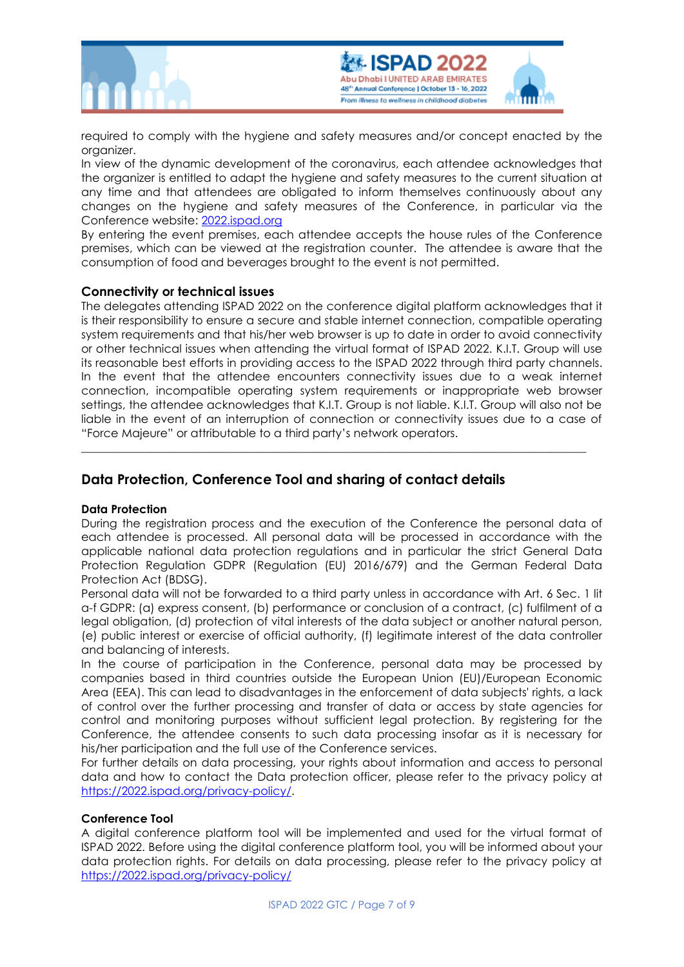



required to comply with the hygiene and safety measures and/or concept enacted by the organizer.

In view of the dynamic development of the coronavirus, each attendee acknowledges that the organizer is entitled to adapt the hygiene and safety measures to the current situation at any time and that attendees are obligated to inform themselves continuously about any changes on the hygiene and safety measures of the Conference, in particular via the Conference website: [2022.ispad.org](https://www.2022.ispad.org/)

By entering the event premises, each attendee accepts the house rules of the Conference premises, which can be viewed at the registration counter. The attendee is aware that the consumption of food and beverages brought to the event is not permitted.

# **Connectivity or technical issues**

The delegates attending ISPAD 2022 on the conference digital platform acknowledges that it is their responsibility to ensure a secure and stable internet connection, compatible operating system requirements and that his/her web browser is up to date in order to avoid connectivity or other technical issues when attending the virtual format of ISPAD 2022. K.I.T. Group will use its reasonable best efforts in providing access to the ISPAD 2022 through third party channels. In the event that the attendee encounters connectivity issues due to a weak internet connection, incompatible operating system requirements or inappropriate web browser settings, the attendee acknowledges that K.I.T. Group is not liable. K.I.T. Group will also not be liable in the event of an interruption of connection or connectivity issues due to a case of "Force Majeure" or attributable to a third party's network operators.

\_\_\_\_\_\_\_\_\_\_\_\_\_\_\_\_\_\_\_\_\_\_\_\_\_\_\_\_\_\_\_\_\_\_\_\_\_\_\_\_\_\_\_\_\_\_\_\_\_\_\_\_\_\_\_\_\_\_\_\_\_\_\_\_\_\_\_\_\_\_\_\_\_\_\_\_\_\_\_\_\_\_\_\_\_\_\_\_

# **Data Protection, Conference Tool and sharing of contact details**

### **Data Protection**

During the registration process and the execution of the Conference the personal data of each attendee is processed. All personal data will be processed in accordance with the applicable national data protection regulations and in particular the strict General Data Protection Regulation GDPR (Regulation (EU) 2016/679) and the German Federal Data Protection Act (BDSG).

Personal data will not be forwarded to a third party unless in accordance with Art. 6 Sec. 1 lit a-f GDPR: (a) express consent, (b) performance or conclusion of a contract, (c) fulfilment of a legal obligation, (d) protection of vital interests of the data subject or another natural person, (e) public interest or exercise of official authority, (f) legitimate interest of the data controller and balancing of interests.

In the course of participation in the Conference, personal data may be processed by companies based in third countries outside the European Union (EU)/European Economic Area (EEA). This can lead to disadvantages in the enforcement of data subjects' rights, a lack of control over the further processing and transfer of data or access by state agencies for control and monitoring purposes without sufficient legal protection. By registering for the Conference, the attendee consents to such data processing insofar as it is necessary for his/her participation and the full use of the Conference services.

For further details on data processing, your rights about information and access to personal data and how to contact the Data protection officer, please refer to the privacy policy at [https://2022.ispad.org/privacy-policy/.](https://2022.ispad.org/privacy-policy/)

### **Conference Tool**

A digital conference platform tool will be implemented and used for the virtual format of ISPAD 2022. Before using the digital conference platform tool, you will be informed about your data protection rights. For details on data processing, please refer to the privacy policy at <https://2022.ispad.org/privacy-policy/>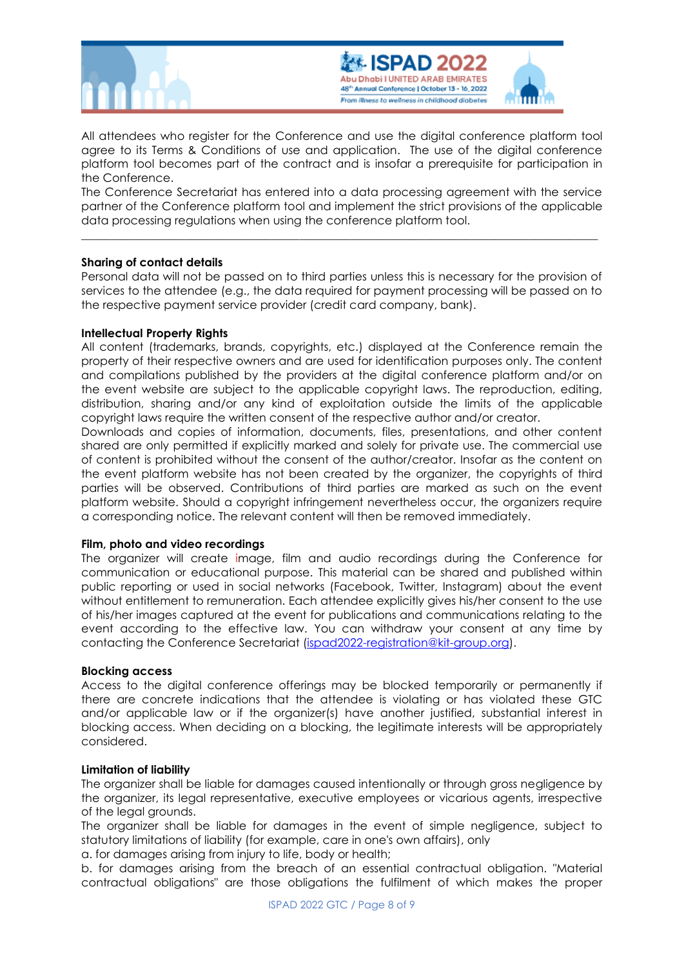



All attendees who register for the Conference and use the digital conference platform tool agree to its Terms & Conditions of use and application. The use of the digital conference platform tool becomes part of the contract and is insofar a prerequisite for participation in the Conference.

The Conference Secretariat has entered into a data processing agreement with the service partner of the Conference platform tool and implement the strict provisions of the applicable data processing regulations when using the conference platform tool.

**\_\_\_\_\_\_\_\_\_\_\_\_\_\_\_\_\_\_\_\_\_\_\_\_\_\_\_\_\_\_\_\_\_\_\_\_\_\_\_\_\_\_\_\_\_\_\_\_\_\_\_\_\_\_\_\_\_\_\_\_\_\_\_\_\_\_\_\_\_\_\_\_\_\_\_\_\_\_\_\_\_\_\_\_\_\_\_\_\_\_**

#### **Sharing of contact details**

Personal data will not be passed on to third parties unless this is necessary for the provision of services to the attendee (e.g., the data required for payment processing will be passed on to the respective payment service provider (credit card company, bank).

#### **Intellectual Property Rights**

All content (trademarks, brands, copyrights, etc.) displayed at the Conference remain the property of their respective owners and are used for identification purposes only. The content and compilations published by the providers at the digital conference platform and/or on the event website are subject to the applicable copyright laws. The reproduction, editing, distribution, sharing and/or any kind of exploitation outside the limits of the applicable copyright laws require the written consent of the respective author and/or creator.

Downloads and copies of information, documents, files, presentations, and other content shared are only permitted if explicitly marked and solely for private use. The commercial use of content is prohibited without the consent of the author/creator. Insofar as the content on the event platform website has not been created by the organizer, the copyrights of third parties will be observed. Contributions of third parties are marked as such on the event platform website. Should a copyright infringement nevertheless occur, the organizers require a corresponding notice. The relevant content will then be removed immediately.

#### **Film, photo and video recordings**

The organizer will create image, film and audio recordings during the Conference for communication or educational purpose. This material can be shared and published within public reporting or used in social networks (Facebook, Twitter, Instagram) about the event without entitlement to remuneration. Each attendee explicitly gives his/her consent to the use of his/her images captured at the event for publications and communications relating to the event according to the effective law. You can withdraw your consent at any time by contacting the Conference Secretariat [\(ispad2022-registration@kit-group.org\)](mailto:ispad2022-registration@kit-group.org).

#### **Blocking access**

Access to the digital conference offerings may be blocked temporarily or permanently if there are concrete indications that the attendee is violating or has violated these GTC and/or applicable law or if the organizer(s) have another justified, substantial interest in blocking access. When deciding on a blocking, the legitimate interests will be appropriately considered.

#### **Limitation of liability**

The organizer shall be liable for damages caused intentionally or through gross negligence by the organizer, its legal representative, executive employees or vicarious agents, irrespective of the legal grounds.

The organizer shall be liable for damages in the event of simple negligence, subject to statutory limitations of liability (for example, care in one's own affairs), only

a. for damages arising from injury to life, body or health;

b. for damages arising from the breach of an essential contractual obligation. "Material contractual obligations" are those obligations the fulfilment of which makes the proper